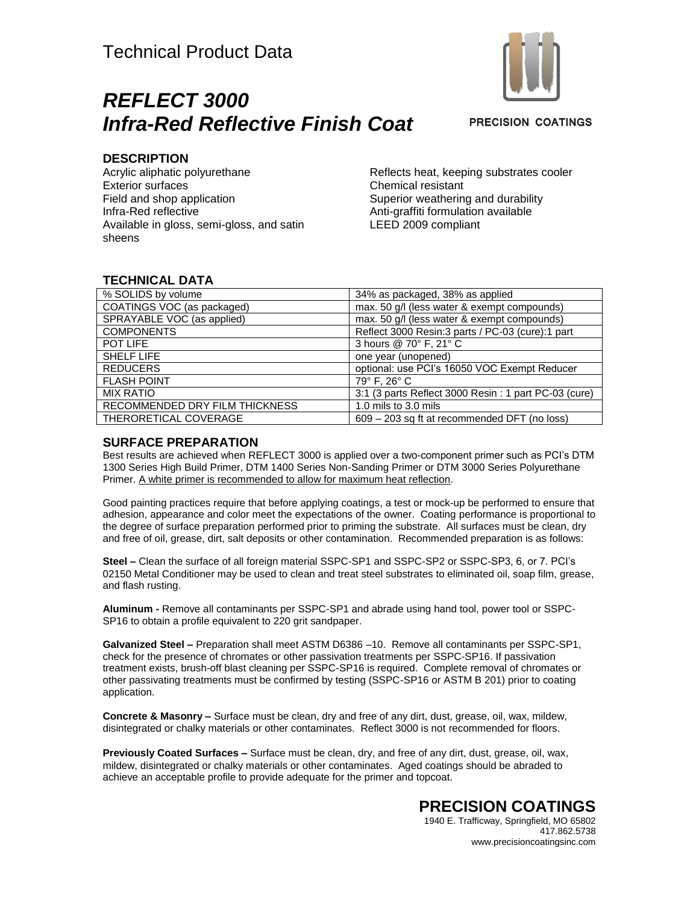



**PRECISION COATINGS** 

#### **DESCRIPTION**

Acrylic aliphatic polyurethane Exterior surfaces Field and shop application Infra-Red reflective Available in gloss, semi-gloss, and satin sheens

Reflects heat, keeping substrates cooler Chemical resistant Superior weathering and durability Anti-graffiti formulation available LEED 2009 compliant

### **TECHNICAL DATA**

| % SOLIDS by volume             | 34% as packaged, 38% as applied                       |
|--------------------------------|-------------------------------------------------------|
| COATINGS VOC (as packaged)     | max. 50 g/l (less water & exempt compounds)           |
| SPRAYABLE VOC (as applied)     | max. 50 g/l (less water & exempt compounds)           |
| <b>COMPONENTS</b>              | Reflect 3000 Resin:3 parts / PC-03 (cure):1 part      |
| POT LIFE                       | 3 hours @ 70° F, 21° C                                |
| <b>SHELF LIFE</b>              | one year (unopened)                                   |
| <b>REDUCERS</b>                | optional: use PCI's 16050 VOC Exempt Reducer          |
| <b>FLASH POINT</b>             | 79° F. 26° C                                          |
| <b>MIX RATIO</b>               | 3:1 (3 parts Reflect 3000 Resin : 1 part PC-03 (cure) |
| RECOMMENDED DRY FILM THICKNESS | 1.0 mils to 3.0 mils                                  |
| THERORETICAL COVERAGE          | 609 – 203 sq ft at recommended DFT (no loss)          |

#### **SURFACE PREPARATION**

Best results are achieved when REFLECT 3000 is applied over a two-component primer such as PCI's DTM 1300 Series High Build Primer, DTM 1400 Series Non-Sanding Primer or DTM 3000 Series Polyurethane Primer. A white primer is recommended to allow for maximum heat reflection.

Good painting practices require that before applying coatings, a test or mock-up be performed to ensure that adhesion, appearance and color meet the expectations of the owner. Coating performance is proportional to the degree of surface preparation performed prior to priming the substrate. All surfaces must be clean, dry and free of oil, grease, dirt, salt deposits or other contamination. Recommended preparation is as follows:

**Steel –** Clean the surface of all foreign material SSPC-SP1 and SSPC-SP2 or SSPC-SP3, 6, or 7. PCI's 02150 Metal Conditioner may be used to clean and treat steel substrates to eliminated oil, soap film, grease, and flash rusting.

**Aluminum -** Remove all contaminants per SSPC-SP1 and abrade using hand tool, power tool or SSPC-SP16 to obtain a profile equivalent to 220 grit sandpaper.

**Galvanized Steel –** Preparation shall meet ASTM D6386 –10. Remove all contaminants per SSPC-SP1, check for the presence of chromates or other passivation treatments per SSPC-SP16. If passivation treatment exists, brush-off blast cleaning per SSPC-SP16 is required. Complete removal of chromates or other passivating treatments must be confirmed by testing (SSPC-SP16 or ASTM B 201) prior to coating application.

**Concrete & Masonry –** Surface must be clean, dry and free of any dirt, dust, grease, oil, wax, mildew, disintegrated or chalky materials or other contaminates. Reflect 3000 is not recommended for floors.

**Previously Coated Surfaces –** Surface must be clean, dry, and free of any dirt, dust, grease, oil, wax, mildew, disintegrated or chalky materials or other contaminates. Aged coatings should be abraded to achieve an acceptable profile to provide adequate for the primer and topcoat.

#### **PRECISION COATINGS** 1940 E. Trafficway, Springfield, MO 65802

417.862.5738 www.precisioncoatingsinc.com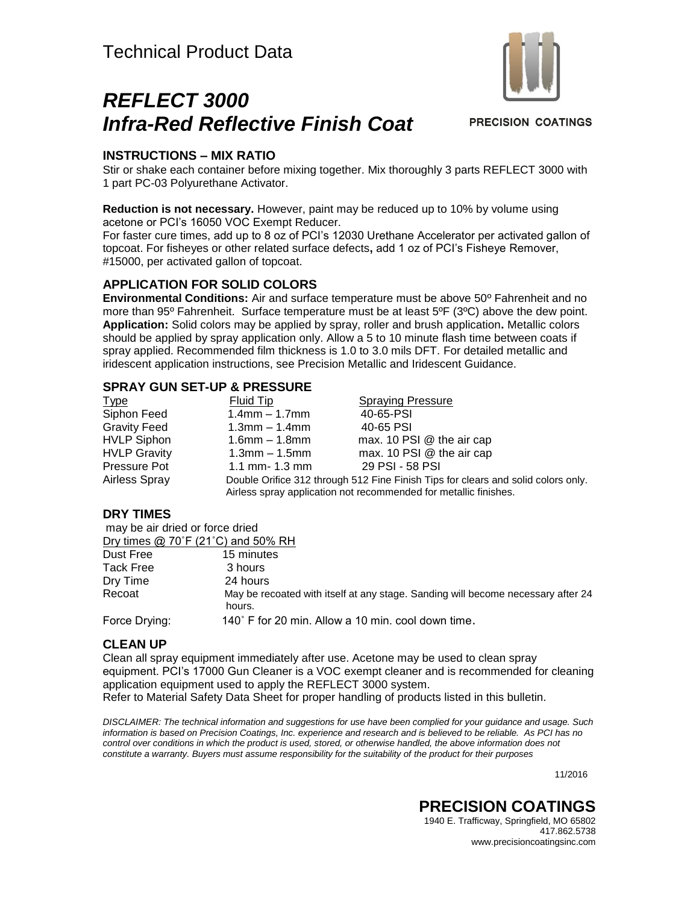# *REFLECT 3000 Infra-Red Reflective Finish Coat*



**PRECISION COATINGS** 

## **INSTRUCTIONS – MIX RATIO**

Stir or shake each container before mixing together. Mix thoroughly 3 parts REFLECT 3000 with 1 part PC-03 Polyurethane Activator.

**Reduction is not necessary.** However, paint may be reduced up to 10% by volume using acetone or PCI's 16050 VOC Exempt Reducer.

For faster cure times, add up to 8 oz of PCI's 12030 Urethane Accelerator per activated gallon of topcoat. For fisheyes or other related surface defects**,** add 1 oz of PCI's Fisheye Remover, #15000, per activated gallon of topcoat.

#### **APPLICATION FOR SOLID COLORS**

**Environmental Conditions:** Air and surface temperature must be above 50º Fahrenheit and no more than 95° Fahrenheit. Surface temperature must be at least 5°F (3°C) above the dew point. **Application:** Solid colors may be applied by spray, roller and brush application**.** Metallic colors should be applied by spray application only. Allow a 5 to 10 minute flash time between coats if spray applied. Recommended film thickness is 1.0 to 3.0 mils DFT. For detailed metallic and iridescent application instructions, see Precision Metallic and Iridescent Guidance.

#### **SPRAY GUN SET-UP & PRESSURE**

| <u>Type</u>         | Fluid Tip                                                                                                                                             | <b>Spraying Pressure</b>  |
|---------------------|-------------------------------------------------------------------------------------------------------------------------------------------------------|---------------------------|
| Siphon Feed         | $1.4$ mm $- 1.7$ mm                                                                                                                                   | 40-65-PSI                 |
| <b>Gravity Feed</b> | $1.3$ mm $-1.4$ mm                                                                                                                                    | 40-65 PSI                 |
| <b>HVLP Siphon</b>  | $1.6$ mm $- 1.8$ mm                                                                                                                                   | max. 10 PSI @ the air cap |
| <b>HVLP Gravity</b> | $1.3$ mm $-1.5$ mm                                                                                                                                    | max. 10 PSI @ the air cap |
| Pressure Pot        | 1.1 mm- $1.3$ mm                                                                                                                                      | 29 PSI - 58 PSI           |
| Airless Spray       | Double Orifice 312 through 512 Fine Finish Tips for clears and solid colors only.<br>Airless spray application not recommended for metallic finishes. |                           |

### **DRY TIMES**

| may be air dried or force dried |                                                                                            |
|---------------------------------|--------------------------------------------------------------------------------------------|
|                                 | Dry times $@$ 70°F (21°C) and 50% RH                                                       |
| Dust Free                       | 15 minutes                                                                                 |
| <b>Tack Free</b>                | 3 hours                                                                                    |
| Dry Time                        | 24 hours                                                                                   |
| Recoat                          | May be recoated with itself at any stage. Sanding will become necessary after 24<br>hours. |
| Force Drying:                   | 140° F for 20 min. Allow a 10 min. cool down time.                                         |

### **CLEAN UP**

Clean all spray equipment immediately after use. Acetone may be used to clean spray equipment. PCI's 17000 Gun Cleaner is a VOC exempt cleaner and is recommended for cleaning application equipment used to apply the REFLECT 3000 system. Refer to Material Safety Data Sheet for proper handling of products listed in this bulletin.

*DISCLAIMER: The technical information and suggestions for use have been complied for your guidance and usage. Such information is based on Precision Coatings, Inc. experience and research and is believed to be reliable. As PCI has no control over conditions in which the product is used, stored, or otherwise handled, the above information does not constitute a warranty. Buyers must assume responsibility for the suitability of the product for their purposes*

11/2016

## **PRECISION COATINGS** 1940 E. Trafficway, Springfield, MO 65802

417.862.5738 www.precisioncoatingsinc.com